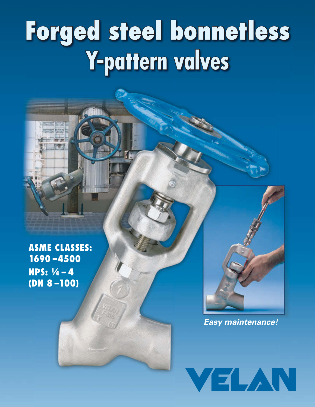# **Forged steel bonnetless Y-pattern valves**

**ASME CLASSES: 1690 –4500 NPS: ¼ – 4 (DN 8 –100)**

*Easy maintenance!*

VELAN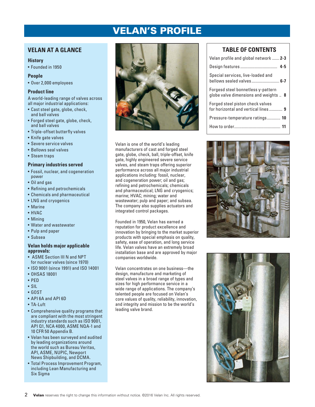# VELAN'S PROFILE

# **VELAN AT A GLANCE**

#### **History**

• Founded in 1950

#### **People**

• Over 2,000 employees

#### **Product line**

A world-leading range of valves across all major industrial applications:

- Cast steel gate, globe, check, and ball valves
- Forged steel gate, globe, check, and ball valves
- Triple-offset butterfly valves
- Knife gate valves
- Severe service valves
- Bellows seal valves
- Steam traps

#### **Primary industries served**

- Fossil, nuclear, and cogeneration power
- Oil and gas
- Refining and petrochemicals
- Chemicals and pharmaceutical
- LNG and cryogenics
- Marine
- HVAC
- Mining
- Water and wastewater
- Pulp and paper
- Subsea

#### **Velan holds major applicable approvals:**

- ASME Section III N and NPT for nuclear valves (since 1970)
- ISO 9001 (since 1991) and ISO 14001
- OHSAS 18001
- PED
- SIL
- GOST
- API 6A and API 6D
- TA-Luft
- Comprehensive quality programs that are compliant with the most stringent industry standards such as ISO 9001, API Q1, NCA 4000, ASME NQA-1 and 10 CFR 50 Appendix B.
- Velan has been surveyed and audited by leading organizations around the world such as Bureau Veritas, API, ASME, NUPIC, Newport News Shipbuilding, and DCMA.
- Total Process Improvement Program, including Lean Manufacturing and Six Sigma



Velan is one of the world's leading manufacturers of cast and forged steel gate, globe, check, ball, triple-offset, knife gate, highly engineered severe service valves, and steam traps offering superior performance across all major industrial applications including: fossil, nuclear, and cogeneration power; oil and gas; refining and petrochemicals; chemicals and pharmaceutical; LNG and cryogenics; marine; HVAC; mining; water and wastewater; pulp and paper; and subsea. The company also supplies actuators and integrated control packages.

Founded in 1950, Velan has earned a reputation for product excellence and innovation by bringing to the market superior products with special emphasis on quality, safety, ease of operation, and long service life. Velan valves have an extremely broad installation base and are approved by major companies worldwide.

Velan concentrates on one business—the design, manufacture and marketing of steel valves in a broad range of types and sizes for high performance service in a wide range of applications. The company's talented people are focused on Velan's core values of quality, reliability, innovation, and integrity and mission to be the world's leading valve brand.

# **TABLE OF CONTENTS**

| Velan profile and global network  2-3                                       |
|-----------------------------------------------------------------------------|
|                                                                             |
| Special services, live-loaded and<br>bellows sealed valves 6-7              |
| Forgesd steel bonnetless y-pattern<br>globe valve dimensions and weights  8 |
| Forged steel piston check valves<br>for horizontal and vertical lines 9     |
| Pressure-temperature ratings 10                                             |
|                                                                             |
|                                                                             |



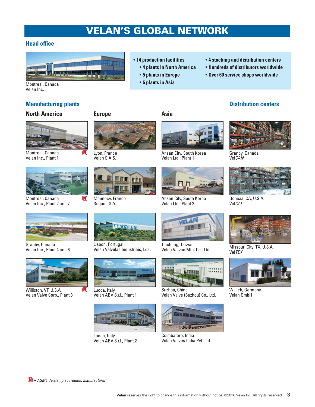# VELAN'S GLOBAL NETWORK

## **Head office**



- **14 production facilities**
	- **4 plants in North America**
	- **5 plants in Europe**
	- **5 plants in Asia**
- **4 stocking and distribution centers**
- **Hundreds of distributors worldwide**
- **Over 60 service shops worldwide**

Montreal, Canada Velan Inc.

# **Manufacturing plants**

# **North America**



Montreal, Canada Velan Inc., Plant 1



Montreal, Canada Velan Inc., Plant 2 and 7



Lyon, France Velan S.A.S.



Mennecy, France Segault S.A.

Lisbon, Portugal



Ansan City, South Korea Velan Ltd., Plant 1



Ansan City, South Korea Velan Ltd., Plant 2



Taichung, Taiwan Velan Valvac Mfg. Co., Ltd.



Suzhou, China Velan Valve (Suzhou) Co., Ltd.



Coimbatore, India Velan Valves India Pvt. Ltd.





Granby, Canada Vel*CAN*



Benicia, CA, U.S.A. Vel*CAL*



Missouri City, TX, U.S.A. Vel*TEX*



Willich, Germany Velan GmbH



Granby, Canada Velan Inc., Plant 4 and 6



M

Williston, VT, U.S.A. Velan Valve Corp., Plant 3



Velan Válvulas Industriais, Lda.

Lucca, Italy Velan ABV S.r.l., Plant 2



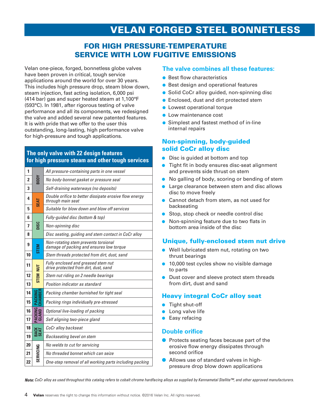# VELAN FORGED STEEL BONNETLESS

# FOR HIGH PRESSURE-TEMPERATURE SERVICE WITH LOW FUGITIVE EMISSIONS

Velan one-piece, forged, bonnetless globe valves have been proven in critical, tough service applications around the world for over 30 years. This includes high pressure drop, steam blow down, steam injection, fast acting isolation, 6,000 psi (414 bar) gas and super heated steam at 1,100°F (593°C). In 1981, after rigorous testing of valve performance and all its components, we redesigned the valve and added several new patented features. It is with pride that we offer to the user this outstanding, long-lasting, high performance valve for high-pressure and tough applications.

## **The only valve with 22 design features for high pressure steam and other tough services**

| 1                       |                     | All pressure-containing parts in one vessel                                      |
|-------------------------|---------------------|----------------------------------------------------------------------------------|
| $\overline{2}$          | <b>NODR</b>         | No body-bonnet gasket or pressure seal                                           |
| 3                       |                     | Self-draining waterways (no deposits)                                            |
| 4                       | <b>SEAT</b>         | Double orifice to better dissipate erosive flow energy<br>through main seat      |
| 5                       |                     | Suitable for blow down and blow off services                                     |
| 6                       |                     | Fully-guided disc (bottom & top)                                                 |
| $\overline{\mathbf{z}}$ | pisc                | Non-spinning disc                                                                |
| 8                       |                     | Disc seating, guiding and stem contact in CoCr alloy                             |
| 9                       | <b>N315</b>         | Non-rotating stem prevents torsional<br>damage of packing and ensures low torque |
| 10                      |                     | Stem threads protected from dirt, dust, sand                                     |
| 11                      | $\overline{a}$      | Fully enclosed and greased stem nut<br>drive protected from dirt, dust, sand     |
| 12                      | <b>STEM</b>         | Stem nut riding on 2 needle bearings                                             |
| 13                      |                     | Position indicator as standard                                                   |
| 14                      | 留日                  | Packing chamber burnished for tight seal                                         |
| 15                      | EHA<br>ΣĀ           | Packing rings individually pre-stressed                                          |
| 16                      | <b>AND</b>          | Optional live-loading of packing                                                 |
| 17                      | ā3<br>S             | Self aligning two-piece gland                                                    |
| 18                      | <b>BACK</b><br>SEAT | CoCr alloy backseat                                                              |
| 19                      |                     | <b>Backseating bevel on stem</b>                                                 |
| 20                      |                     | No welds to cut for servicing                                                    |
| 21                      | SERVICING           | No threaded bonnet which can seize                                               |
| 22                      |                     | One-step removal of all working parts including packing                          |

## **The valve combines all these features:**

- Best flow characteristics
- Best design and operational features
- Solid CoCr alloy guided, non-spinning disc
- Enclosed, dust and dirt protected stem
- Lowest operational torque
- Low maintenance cost
- Simplest and fastest method of in-line internal repairs

# Non-spinning, body-guided solid CoCr alloy disc

- Disc is guided at bottom and top
- Tight fit in body ensures disc-seat alignment and prevents side thrust on stem
- No galling of body, scoring or bending of stem
- Large clearance between stem and disc allows disc to move freely
- Cannot detach from stem, as not used for backseating
- Stop, stop check or needle control disc
- Non-spinning feature due to two flats in bottom area inside of the disc

# Unique, fully-enclosed stem nut drive

- Well lubricated stem nut, rotating on two thrust bearings
- 10,000 test cycles show no visible damage to parts
- Dust cover and sleeve protect stem threads from dirt, dust and sand

# Heavy integral CoCr alloy seat

- Tight shut-off
- Long valve life
- Easy refacing

#### **Double orifice**

- Protects seating faces because part of the erosive flow energy dissipates through second orifice
- Allows use of standard valves in highpressure drop blow down applications

*Note: CoCr alloy as used throughout this catalog refers to cobalt chrome hardfacing alloys as supplied by Kennametal Stellite™, and other approved manufacturers.*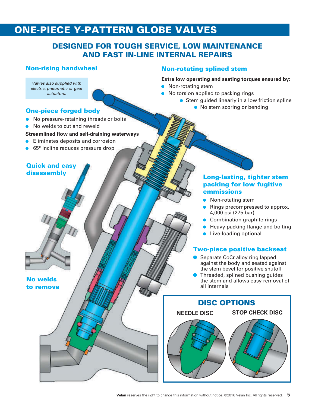# ONE-PIECE Y-PATTERN GLOBE VALVES

# DESIGNED FOR TOUGH SERVICE, LOW MAINTENANCE AND FAST IN-LINE INTERNAL REPAIRS

## Non-rising handwheel

*Valves also supplied with electric, pneumatic or gear actuators.* 

## One-piece forged body

- No pressure-retaining threads or bolts
- No welds to cut and reweld

#### **Streamlined flow and self-draining waterways**

- Eliminates deposits and corrosion
- 65° incline reduces pressure drop

## Quick and easy disassembly

No welds to remove

## Non-rotating splined stem

#### **Extra low operating and seating torques ensured by:**

- Non-rotating stem
- No torsion applied to packing rings
	- Stem guided linearly in a low friction spline
		- No stem scoring or bending

## Long-lasting, tighter stem packing for low fugitive emmissions

- Non-rotating stem
- Rings precompressed to approx. 4,000 psi (275 bar)
- Combination graphite rings
- Heavy packing flange and bolting
- Live-loading optional

# Two-piece positive backseat

- Separate CoCr alloy ring lapped against the body and seated against the stem bevel for positive shutoff
- Threaded, splined bushing quides the stem and allows easy removal of all internals

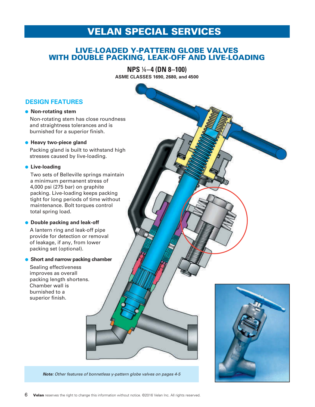# VELAN SPECIAL SERVICES

# LIVE-LOADED Y-PATTERN GLOBE VALVES WITH DOUBLE PACKING, LEAK-OFF AND LIVE-LOADING

**NPS** ¼**–4 (DN 8–100)**

**ASME CLASSES 1690, 2680, and 4500**

# **DESIGN FEATURES**

#### ● **Non-rotating stem**

Non-rotating stem has close roundness and straightness tolerances and is burnished for a superior finish.

#### **• Heavy two-piece gland**

Packing gland is built to withstand high stresses caused by live-loading.

#### ● **Live-loading**

Two sets of Belleville springs maintain a minimum permanent stress of 4,000 psi (275 bar) on graphite packing. Live-loading keeps packing tight for long periods of time without maintenance. Bolt torques control total spring load.

#### ● **Double packing and leak-off**

A lantern ring and leak-off pipe provide for detection or removal of leakage, if any, from lower packing set (optional).

#### ● **Short and narrow packing chamber**

Sealing effectiveness improves as overall packing length shortens. Chamber wall is burnished to a superior finish.



*Note: Other features of bonnetless y-pattern globe valves on pages 4-5*

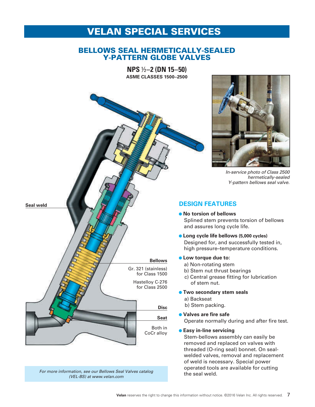# VELAN SPECIAL SERVICES

# BELLOWS SEAL HERMETICALLY-SEALED Y-PATTERN GLOBE VALVES

**NPS** ½**–2 (DN 15–50) ASME CLASSES 1500–2500**



*For more information, see our Bellows Seal Valves catalog (VEL-BS) at www.velan.com*



*In-service photo of Class 2500 hermetically-sealed Y-pattern bellows seal valve.*

# **DESIGN FEATURES**

- **No torsion of bellows** Splined stem prevents torsion of bellows and assures long cycle life.
- **Long cycle life bellows (5,000 cycles)** Designed for, and successfully tested in, high pressure–temperature conditions.
- **Low torque due to:**
	- a) Non-rotating stem
	- b) Stem nut thrust bearings
	- c) Central grease fitting for lubrication of stem nut.
- **Two secondary stem seals**
	- a) Backseat
	- b) Stem packing.
- **Valves are fire safe**

Operate normally during and after fire test.

● **Easy in-line servicing**

Stem-bellows assembly can easily be removed and replaced on valves with threaded (O-ring seal) bonnet. On sealwelded valves, removal and replacement of weld is necessary. Special power operated tools are available for cutting the seal weld.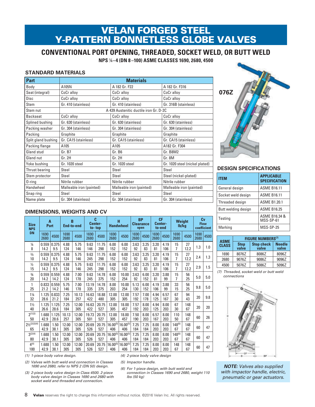# VELAN FORGED STEEL Y-PATTERN BONNETLESS GLOBE VALVES

**CONVENTIONAL PORT OPENING, THREADED, SOCKET WELD, OR BUTT WELD**

**NPS** ¼**–4 (DN 8 –100) ASME CLASSES 1690, 2680, 4500**

## **STANDARD MATERIALS**

| <b>Part</b>         | <b>Materials</b>         |                                        |                                |  |  |  |  |  |  |
|---------------------|--------------------------|----------------------------------------|--------------------------------|--|--|--|--|--|--|
| Body                | A105N                    | A 182 Gr. F22                          | A 182 Gr. F316                 |  |  |  |  |  |  |
| Seat (integral)     | CoCr alloy               | CoCr alloy                             | CoCr alloy                     |  |  |  |  |  |  |
| <b>Disc</b>         | CoCr alloy               | CoCr alloy                             | CoCr alloy                     |  |  |  |  |  |  |
| Stem                | Gr. 410 (stainless)      | Gr. 410 (stainless)                    | Gr. 316B (stainless)           |  |  |  |  |  |  |
| Stem nut            |                          | A 439 Austenitic ductile iron Gr. D-2C |                                |  |  |  |  |  |  |
| <b>Backseat</b>     | CoCr alloy               | CoCr alloy                             | CoCr alloy                     |  |  |  |  |  |  |
| Splined bushing     | Gr. 630 (stainless)      | Gr. 630 (stainless)                    | Gr. 630 (stainless)            |  |  |  |  |  |  |
| Packing washer      | Gr. 304 (stainless)      | Gr. 304 (stainless)                    | Gr. 304 (stainless)            |  |  |  |  |  |  |
| Packing             | Graphite                 | Graphite                               | Graphite                       |  |  |  |  |  |  |
| Split gland bushing | Gr. CA15 (stainless)     | Gr. CA15 (stainless)                   | Gr. CA15 (stainless)           |  |  |  |  |  |  |
| Packing flange      | A105                     | A105                                   | A182 Gr. F304                  |  |  |  |  |  |  |
| Gland stud          | Gr. B7                   | Gr. B6                                 | Gr. B8M2                       |  |  |  |  |  |  |
| Gland nut           | Gr. 2H                   | Gr. 2H                                 | Gr. 8M                         |  |  |  |  |  |  |
| Yoke bushing        | Gr. 1020 steel           | Gr. 1020 steel                         | Gr. 1020 steel (nickel plated) |  |  |  |  |  |  |
| Thrust bearing      | Steel                    | Steel                                  | Steel                          |  |  |  |  |  |  |
| Stem protector      | Steel                    | Steel                                  | Steel (nickel-plated)          |  |  |  |  |  |  |
| $0$ -ring           | Nitrile rubber           | Nitrile rubber                         | Nitrile rubber                 |  |  |  |  |  |  |
| Handwheel           | Malleable iron (painted) | Malleable iron (painted)               | Malleable iron (painted)       |  |  |  |  |  |  |
| Snap ring           | Steel                    | Steel                                  | Steel                          |  |  |  |  |  |  |
| Name plate          | Gr. 304 (stainless)      | Gr. 304 (stainless)                    | Gr. 304 (stainless)            |  |  |  |  |  |  |



#### **DESIGN SPECIFICATIONS**

| <b>ITEM</b>         | <b>APPLICABLE</b><br><b>SPECIFICATION</b> |
|---------------------|-------------------------------------------|
| General design      | <b>ASME B16.11</b>                        |
| Socket weld design  | <b>ASME B16.11</b>                        |
| Threaded design     | <b>ASME B1.20.1</b>                       |
| Butt welding design | <b>ASME B16.25</b>                        |
| Testing             | ASME B16.34 &<br>MSS-SP-61                |
| Marking             | MSS-SP-25                                 |

| <b>ASME</b>  | <b>FIGURE NUMBERS(7)</b> |                            |                        |  |  |  |  |  |  |  |
|--------------|--------------------------|----------------------------|------------------------|--|--|--|--|--|--|--|
| <b>CLASS</b> | <b>Stop</b><br>valve     | <b>Stop check</b><br>valve | <b>Needle</b><br>valve |  |  |  |  |  |  |  |
| 1690         | 8076Z                    | 8086Z                      | 8096Z                  |  |  |  |  |  |  |  |
| 2680         | 9076Z                    | 9086Z                      | 9096Z                  |  |  |  |  |  |  |  |
| 4500         | 5076Z                    | 5086Z                      | 5096Z                  |  |  |  |  |  |  |  |

*(7) Threaded, socket weld or butt weld connections*



#### *NOTE: Valves also supplied with impactor handle, electric, pneumatic or gear actuators.*

## **DIMENSIONS, WEIGHTS AND CV**

| <b>Size</b><br><b>NPS</b>                 | $\overline{A}$<br>Port |               | C<br>B<br>Center-<br><b>End-to-end</b><br>$to$ -top |              |              | H<br><b>Handwheel</b> |                      | <b>BP</b><br><b>Clearance</b><br>open |              | <b>CF</b><br>Center-<br>to-end |              | <b>Weight</b><br>Ib/kg |                   | Cv<br><b>Flow</b><br>coefficient |              |      |
|-------------------------------------------|------------------------|---------------|-----------------------------------------------------|--------------|--------------|-----------------------|----------------------|---------------------------------------|--------------|--------------------------------|--------------|------------------------|-------------------|----------------------------------|--------------|------|
| <b>DN</b>                                 | 1690<br>2680           | 4500          | 1690<br>2680                                        | 4500         | 1690<br>2680 | 4500                  | 1690<br>2680         | 4500                                  | 1690<br>2680 | 4500                           | 1690<br>2680 | 4500                   | 1690<br>2680      | 4500                             | 1690<br>2680 | 4500 |
| $\frac{1}{4}$<br>8                        | 0.559<br>14.2          | 0.375<br>9.5  | 4.88<br>124                                         | 5.75<br>146  | 9.63<br>146  | 11.75<br>298          | 6.00<br>152          | 6.00<br>152                           | 3.63<br>92   | 3.25<br>83                     | 3.20<br>81   | 4.19<br>106            | 15<br>7           | 27<br>12.2                       | 1.3          | 1.0  |
| $\frac{3}{8}$<br>10                       | 0.559<br>14.2          | 0.375<br>9.5  | 4.88<br>124                                         | 5.75<br>146  | 9.63<br>245  | 11.75<br>298          | 6.00<br>152          | 6.00<br>152                           | 3.63<br>92   | 3.25<br>83                     | 3.20<br>81   | 4.19<br>106            | 15<br>7           | 27<br>12.2                       | 2.4          | 1.3  |
| $\frac{1}{2}$<br>15                       | 0.559<br>14.2          | 0.375<br>9.5  | 4.88<br>124                                         | 5.75<br>146  | 9.63<br>245  | 11.75<br>298          | 6.00<br>152          | 6.00<br>152                           | 3.63<br>92   | 3.25<br>83                     | 3.20<br>81   | 4.19<br>106            | 15<br>7           | 27<br>12.2                       | 2.9          | 1.5  |
| $\frac{3}{4}$<br>20                       | 0.559<br>14.2          | 0.559<br>14.2 | 4.88<br>124                                         | 7.00<br>178  | 9.63<br>245  | 14.78<br>375          | 6.00<br>152          | 10.00<br>254                          | 3.63<br>92   | 6.00<br>152                    | 3.20<br>81   | 3.88<br>99             | 15<br>7           | 56<br>25                         | 5.0          | 5.0  |
| 1<br>25                                   | 0.833<br>21.2          | 0.559<br>14.2 | 5.75<br>146                                         | 7.00<br>178  | 13.19<br>335 | 14.78<br>375          | 8.00<br>203          | 10.00<br>254                          | 5.13<br>130  | 6.00<br>152                    | 4.19<br>106  | 3.88<br>99             | 33<br>15          | 56<br>25                         | 9.8          | 5.0  |
| $1\frac{1}{4}$<br>32                      | 1.125<br>28.6          | 0.833<br>21.2 | 7.25<br>184                                         | 10.13<br>257 | 16.63<br>422 | 18.88<br>480          | 12.00<br>305         | 12.00<br>305                          | 7.57<br>192  | 7.00<br>178                    | 4.94<br>125  | 6.57<br>167            | 67<br>30          | 94<br>43                         | 20           | 9.8  |
| $1\frac{1}{2}$<br>40                      | 1.125<br>26.6          | 1.125<br>28.6 | 7.25<br>184                                         | 12.00<br>305 | 16.63<br>422 | 20.75<br>527          | 12.00<br>305         | 18.00<br>457                          | 7.57<br>192  | 8.00<br>203                    | 4.94<br>125  | 8.00<br>203            | 67<br>30          | 148<br>67                        | 20           | 20   |
| $2^{(1)(3)}$<br>50                        | 1.688<br>42.9          | 1.125<br>28.6 | 10.13<br>257                                        | 12.00<br>305 | 19.73<br>501 | 20.75<br>527          | 12.00<br>305         | 18.00<br>457                          | 7.50<br>190  | 8.00<br>203                    | 6.57<br>167  | 8.00<br>203            | 110<br>50         | 148<br>67                        | 60           | 26   |
| $2\frac{1}{2}$ <sup>(2)(3)(4)</sup><br>65 | 1.688<br>42.9          | 1.50<br>38.1  | 12.00<br>305                                        | 12.00<br>305 | 20.69<br>526 | 20.75<br>527          | $16.00^{(5)}$<br>406 | $16.00^{(5)}$<br>406                  | 7.25<br>184  | 7.25<br>184                    | 8.00<br>203  | 8.00<br>203            | $148^{(6)}$<br>67 | 148<br>67                        | 60           | 47   |
| $3^{(2)(4)}$<br>80                        | 1.688<br>42.9          | 1.50<br>38.1  | 12.00<br>305                                        | 12.00<br>305 | 20.69<br>526 | 20.75<br>527          | $16.00^{(5)}$<br>406 | $16.00^{(5)}$<br>406                  | 7.25<br>184  | 7.25<br>184                    | 8.00<br>203  | 8.00<br>203            | $148^{(6)}$<br>67 | 148<br>67                        | 60           | 47   |
| $4^{(4)}$<br>100                          | 1.688<br>42.9          | 1.50<br>38.1  | 12.00<br>305                                        | 12.00<br>305 | 20.69<br>526 | 20.75<br>527          | $16.00^{(5)}$<br>406 | $16.00^{(5)}$<br>406                  | 7.25<br>184  | 7.25<br>184                    | 8.00<br>203  | 8.00<br>203            | 148<br>67         | 148<br>67                        | 60           | 47   |

*(1) 1-piece body valve design.*

- *(2) Valves with butt weld end connection in Classes 1690 and 2680, refer to NPS 2 (DN 50) design.*
- *(3) 2-piece body valve design in Class 4500. 2-piece body valve design in Classes 1690 and 2680 with socket weld and threaded end connection.*
- *(4) 2-piece body valve design*
- *(5) Impactor handle.*
- *(6) For 1-piece design, with butt weld end connection in Classes 1690 and 2680, weight 110 lbs (50 kg)*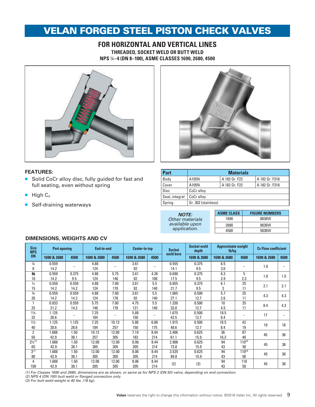# VELAN FORGED STEEL PISTON CHECK VALVES

## **FOR HORIZONTAL AND VERTICAL LINES THREADED, SOCKET WELD OR BUTT WELD NPS** ¼**–4 (DN 8–100), ASME CLASSES 1690, 2680, 4500**





#### **FEATURES:**

- Solid CoCr alloy disc, fully guided for fast and full seating, even without spring
- $\bullet$  High  $C_v$
- Self-draining waterways

| <b>Part</b>    |                     | <b>Materials</b> |                |
|----------------|---------------------|------------------|----------------|
| Body           | A105N               | A 182 Gr. F22    | A 182 Gr. F316 |
| Cover          | A105N               | A 182 Gr. F22    | A 182 Gr. F316 |
| Disc           | CoCr alloy          |                  |                |
| Seat, integral | CoCr alloy          |                  |                |
| Spring         | Gr. 302 (stainless) |                  |                |

| <b>NOTE:</b>    |
|-----------------|
| Other materials |
| available upon  |
| application.    |

| <b>ASME CLASS</b> | <b>FIGURE NUMBERS</b> |
|-------------------|-----------------------|
| 1690              | 8036W                 |
| 2680              | 9036W                 |
| 4500              | 5036W                 |

## **DIMENSIONS, WEIGHTS AND CV**

| <b>Size</b>                   | <b>Port opening</b> |       | End-to-end  |       | Center-to-top |      | <b>Socket</b> | <b>Socket weld</b><br>depth | <b>Approximate weight</b><br>lb/kg |                          | <b>Cv Flow coefficient</b> |                          |
|-------------------------------|---------------------|-------|-------------|-------|---------------|------|---------------|-----------------------------|------------------------------------|--------------------------|----------------------------|--------------------------|
| <b>NPS</b><br><b>DN</b>       | 1690 & 2680         | 4500  | 1690 & 2680 | 4500  | 1690 & 2680   | 4500 | weld bore     | 1690 & 2680                 | 1690 & 2680                        | 4500                     | 1690 & 2680                | 4500                     |
| $\frac{1}{4}$                 | 0.559               |       | 4.88        |       | 3.61          |      | 0.555         | 0.375                       | 6.5                                |                          |                            |                          |
| 8                             | 14.2                |       | 124         |       | 92            | -    | 14.1          | 9.5                         | 3.0                                | $\qquad \qquad$          | 1.0                        |                          |
| $\frac{3}{8}$                 | 0.559               | 0.375 | 4.88        | 5.75  | 3.61          | 4.26 | 0.690         | 0.375                       | 6.3                                | 5                        |                            |                          |
| 10                            | 14.2                | 9.5   | 124         | 146   | 92            | 108  | 17.5          | 9.5                         | 2.9                                | 2.3                      | 1.8                        | 1.5                      |
| $\frac{1}{2}$                 | 0.559               | 0.559 | 4.88        | 7.00  | 3.61          | 5.5  | 0.855         | 0.375                       | 6.1                                | 25                       |                            |                          |
| 15                            | 14.2                | 14.2  | 124         | 178   | 92            | 140  | 21.7          | 9.5                         | 3                                  | 11                       | 2.1                        | 2.1                      |
| $\frac{3}{4}$                 | 0.559               | 0.559 | 4.88        | 7.00  | 3.61          | 5.5  | 1.065         | 0.500                       | $\overline{5.7}$                   | 25                       |                            |                          |
| 20                            | 14.2                | 14.2  | 124         | 178   | 92            | 140  | 27.1          | 12.7                        | 2.6                                | 11                       | 4.3                        | 4.3                      |
| 1                             | 0.833               | 0.559 | 5.75        | 7.00  | 4.75          | 5.5  | 1.330         | 0.500                       | 10                                 | 25                       | 8.4                        |                          |
| 25                            | 21.2                | 14.2  | 146         | 178   | 121           | 140  | 33.8          | 12.7                        | 4.5                                | 11                       |                            | 4.3                      |
| $1\frac{1}{4}$                | 1.125               |       | 7.25        |       | 5.88          |      | 1.675         | 0.500                       | 18.5                               |                          | 17                         |                          |
| 32                            | 28.6                |       | 184         | -     | 150           | -    | 42.5          | 12.7                        | 8.4                                | $\overline{\phantom{0}}$ |                            | $\overline{\phantom{0}}$ |
| $1\frac{1}{2}$                | 1.125               | 1.125 | 7.25        | 10.13 | 5.88          | 6.88 | 1.915         | 0.500                       | 18.5                               | 42                       | 19                         | 18                       |
| 40                            | 28.6                | 28.6  | 184         | 257   | 150           | 175  | 48.6          | 12.7                        | 8.4                                | 19                       |                            |                          |
| $\overline{2}$                | 1.688               | 1.50  | 10.13       | 12.00 | 7.19          | 8.44 | 2.406         | 0.625                       | 36                                 | 87                       | 45                         | 36                       |
| 50                            | 42.9                | 38.1  | 257         | 305   | 183           | 214  | 61.1          | 15.9                        | 16.3                               | 40                       |                            |                          |
| $2\frac{1}{2}$ <sup>(1)</sup> | 1.688               | 1.50  | 12.00       | 12.00 | 8.06          | 8.44 | 2.906         | 0.625                       | 94                                 | $110^{(3)}$              | 45                         | 36                       |
| 65                            | 42.9                | 38.1  | 305         | 305   | 205           | 214  | 73.8          | 15.9                        | 43                                 | 50                       |                            |                          |
| $3^{(1)}$                     | 1.688               | 1.50  | 12.00       | 12.00 | 8.06          | 8.44 | 3.535         | 0.625                       | 94                                 | $110^{(3)}$              | 45                         | 36                       |
| 80                            | 42.9                | 38.1  | 305         | 305   | 205           | 214  | 89.8          | 15.9                        | 43                                 | 50                       |                            |                          |
| 4                             | 1.688               | 1.50  | 12.00       | 12.00 | 8.06          | 8.44 | (2)           | (2)                         | 94                                 | 110                      | 45                         | 36                       |
| 100                           | 42.9                | 38.1  | 305         | 305   | 205           | 214  |               |                             | 43                                 | 50                       |                            |                          |

*(1) For Classes 1690 and 2680, dimensions are as shown, or same as for NPS 2 (DN 50) valve, depending on end connection.* 

*(2) NPS 4 (DN 100) butt weld or flanged connection only.* 

*(3) For butt weld weight is 40 lbs. (18 kg).*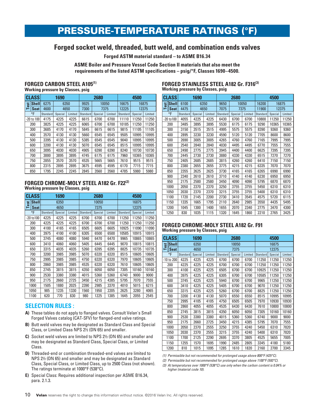# PRESSURE-TEMPERATURE RATINGS (°F)

# **Forged socket weld, threaded, butt weld, and combination ends valves**

**Forged ASTM material standard – to ASME B16.34**

**ASME Boiler and Pressure Vessel Code Section II materials that also meet the requirements of the listed ASTM specifications – psig/°F, Classes 1690–4500.**

# **FORGED CARBON STEEL A105(1) Working pressure by Classes, psig**

|                                         | <b>CLASS</b>   | 1690     |         |         |          | 2680    |         | 4500     |         |         |  |  |
|-----------------------------------------|----------------|----------|---------|---------|----------|---------|---------|----------|---------|---------|--|--|
| <b>Shell</b><br>est<br><b>Seat</b><br>⊢ |                | 6275     |         | 6350    | 9925     |         | 10050   | 16675    | 16875   |         |  |  |
|                                         |                | 4600     |         | 4650    | 7300     |         | 7375    | 12225    | 12375   |         |  |  |
|                                         | °F             | Standard | Special | Limited | Standard | Special | Limited | Standard | Special | Limited |  |  |
|                                         | $-20$ to $100$ | 4175     | 4225    | 4225    | 6615     | 6700    | 6700    | 11110    | 11250   | 11250   |  |  |
|                                         | 200            | 3825     | 4225    | 4225    | 6065     | 6700    | 6700    | 10185    | 11250   | 11250   |  |  |
|                                         | 300            | 3685     | 4170    | 4170    | 5845     | 6615    | 6615    | 9815     | 11105   | 11105   |  |  |
|                                         | 400            | 3570     | 4130    | 4130    | 5660     | 6545    | 6545    | 9505     | 10995   | 10995   |  |  |
|                                         | 500            | 3395     | 4130    | 4130    | 5385     | 6545    | 6545    | 9040     | 10995   | 10995   |  |  |
|                                         | 600            | 3200     | 4130    | 4130    | 5070     | 6545    | 6545    | 8515     | 10995   | 10995   |  |  |
|                                         | 650            | 3095     | 4030    | 4030    | 4905     | 6390    | 6390    | 8240     | 10730   | 10730   |  |  |
|                                         | 700            | 3000     | 3895    | 3895    | 4745     | 6175    | 6175    | 7960     | 10365   | 10365   |  |  |
|                                         | 750            | 2855     | 3570    | 3570    | 4535     | 5665    | 5665    | 7610     | 9515    | 9515    |  |  |
|                                         | 800            | 2315     | 2895    | 2895    | 3675     | 4595    | 4595    | 6170     | 7715    | 7715    |  |  |
|                                         | 850            | 1795     | 2245    | 2245    | 2845     | 3560    | 3560    | 4785     | 5980    | 5980    |  |  |

#### **FORGED CHROME-MOLY STEEL A182 Gr. F22(2) Working pressure by Classes, psig**

|      | <b>CLASS</b>   |                 | 1690    |         |                 | 2680    |         |                 | 4500    |         |  |  |
|------|----------------|-----------------|---------|---------|-----------------|---------|---------|-----------------|---------|---------|--|--|
| Test | <b>Shell</b>   | 6350            |         |         |                 | 10050   |         |                 | 16875   |         |  |  |
|      | <b>Seat</b>    |                 | 4650    |         |                 | 7375    |         |                 | 12375   |         |  |  |
|      | °F             | <b>Standard</b> | Special | Limited | <b>Standard</b> | Special | Limited | <b>Standard</b> | Special | Limited |  |  |
|      | $-20$ to $100$ | 4225            | 4225    | 4225    | 6700            | 6700    | 6700    | 11250           | 11250   | 11250   |  |  |
|      | 200            | 4225            | 4225    | 4225    | 6700            | 6700    | 6700    | 11250           | 11250   | 11250   |  |  |
|      | 300            | 4100            | 4165    | 4165    | 6505            | 6605    | 6605    | 10925           | 11090   | 11090   |  |  |
|      | 400            | 3975            | 4100    | 4100    | 6305            | 6500    | 6500    | 10585           | 10915   | 10915   |  |  |
|      | 500            | 3745            | 4080    | 4080    | 5940            | 6470    | 6470    | 9965            | 10865   | 10865   |  |  |
|      | 600            | 3410            | 4060    | 4060    | 5405            | 6445    | 6445    | 9070            | 10815   | 10815   |  |  |
|      | 650            | 3315            | 4035    | 4035    | 5260            | 6395    | 6395    | 8825            | 10735   | 10735   |  |  |
|      | 700            | 3200            | 3985    | 3985    | 5070            | 6320    | 6320    | 8515            | 10605   | 10605   |  |  |
|      | 750            | 2995            | 3985    | 3985    | 4750            | 6320    | 6320    | 7970            | 10605   | 10605   |  |  |
|      | 800            | 2860            | 3985    | 3985    | 4535            | 6320    | 6320    | 7610            | 10605   | 10605   |  |  |
|      | 850            | 2745            | 3815    | 3815    | 4350            | 6050    | 6050    | 7305            | 10160   | 10160   |  |  |
|      | 900            | 2530            | 3380    | 3380    | 4015            | 5360    | 5360    | 6740            | 9000    | 9000    |  |  |
|      | 950            | 2175            | 2660    | 2725    | 3450            | 4215    | 4385    | 5795            | 7070    | 7555    |  |  |
|      | 1000           | 1505            | 1880    | 2025    | 2390            | 2985    | 3370    | 4010            | 5015    | 6215    |  |  |
|      | 1050           | 985             | 1235    | 1330    | 1560            | 1950    | 2205    | 2625            | 3280    | 4065    |  |  |
|      | 1100           | 620             | 770     | 830     | 980             | 1225    | 1385    | 1645            | 2055    | 2545    |  |  |

#### **SELECTION RULES :**

- **A)** These tables do not apply to flanged valves. Consult Velan's Small Forged Valves catalog (CAT-SFV) for flanged-end valve ratings.
- **B)** Butt weld valves may be designated as Standard Class and Special Class, or Limited Class NPS 2½ (DN 65) and smaller.
- **C)** Socket weld valves are limited to NPS 2½ (DN 65) and smaller and may be designated as Standard Class, Special Class, or Limited Class.
- **D)** Threaded-end or combination threaded-end valves are limited to NPS 2½ (DN 65) and smaller and may be designated as Standard Class, Special Class, or Limited Class, up to 2500 Class (not shown). The ratings terminate at 1000°F (538°C).
- **E)** Special Class: Requires additional inspection per ASME B16.34, para. 2.1.3.

| FORGED STAINLESS STEEL A182 Gr. F316(3)  |  |
|------------------------------------------|--|
| <b>Working pressure by Classes, psig</b> |  |

| <b>CLASS</b> |                |              | 1690    |         | 2680     |         |                | 4500     |         |         |
|--------------|----------------|--------------|---------|---------|----------|---------|----------------|----------|---------|---------|
| est          | <b>Shell</b>   | 6100<br>6350 |         | 9650    | 10050    |         | 16200<br>16875 |          |         |         |
| ⊨            | <b>Seat</b>    | 4475         | 4650    |         | 7075     |         | 7375           | 11900    |         | 12375   |
|              | °F             | Standard     | Special | Limited | Standard | Special | Limited        | Standard | Special | Limited |
|              | $-20$ to $100$ | 4055         | 4225    | 4225    | 6430     | 6700    | 6700           | 10800    | 11250   | 11250   |
|              | 200            | 3485         | 3895    | 3895    | 5530     | 6175    | 6175           | 9290     | 10365   | 10365   |
|              | 300            | 3150         | 3515    | 3515    | 4995     | 5575    | 5575           | 8390     | 9360    | 9360    |
|              | 400            | 2895         | 3230    | 3230    | 4590     | 5120    | 5120           | 7705     | 8600    | 8600    |
|              | 500            | 2690         | 3005    | 3005    | 4265     | 4760    | 4760           | 7165     | 7995    | 7995    |
|              | 600            | 2540         | 2840    | 2840    | 4030     | 4495    | 4495           | 6770     | 7555    | 7555    |
|              | 650            | 2490         | 2775    | 2775    | 3945     | 4400    | 4400           | 6625     | 7395    | 7395    |
|              | 700            | 2445         | 2730    | 2730    | 3880     | 4330    | 4330           | 6515     | 7270    | 7270    |
|              | 750            | 2405         | 2685    | 2685    | 3815     | 4260    | 4260           | 6410     | 7150    | 7150    |
|              | 800            | 2380         | 2655    | 2655    | 3775     | 4215    | 4215           | 6335     | 7070    | 7070    |
|              | 850            | 2355         | 2625    | 2625    | 3730     | 4165    | 4165           | 6265     | 6990    | 6990    |
|              | 900            | 2340         | 2610    | 2610    | 3710     | 4140    | 4140           | 6230     | 6950    | 6950    |
|              | 950            | 2175         | 2580    | 2580    | 3450     | 4090    | 4090           | 5795     | 6870    | 6870    |
|              | 1000           | 2050         | 2370    | 2370    | 3250     | 3755    | 3755           | 5450     | 6310    | 6310    |
|              | 1050           | 2030         | 2370    | 2370    | 3215     | 3755    | 3755           | 5400     | 6310    | 6310    |
|              | 1100           | 1720         | 2145    | 2200    | 2730     | 3410    | 3545           | 4575     | 5720    | 6115    |
|              | 1150           | 1335         | 1665    | 1795    | 2110     | 2640    | 2985           | 3550     | 4435    | 5495    |
|              | 1200           | 1045         | 1300    | 1400    | 1655     | 2070    | 2340           | 2775     | 3470    | 4300    |
|              | 1250           | 830          | 1035    | 1115    | 1320     | 1645    | 1860           | 2210     | 2765    | 3425    |

# **FORGED CHROME-MOLY STEEL A182 Gr. F91 Working pressure by Classes, psig**

| <b>CLASS</b>         |          | 1690    |         | 2680     |         |         | 4500            |         |         |  |
|----------------------|----------|---------|---------|----------|---------|---------|-----------------|---------|---------|--|
| <b>Shell</b><br>Test | 6350     |         |         |          | 10050   |         | 16875           |         |         |  |
| <b>Seat</b>          |          | 4650    |         |          | 7375    |         |                 | 12375   |         |  |
| °F                   | Standard | Special | Limited | Standard | Special | Limited | <b>Standard</b> | Special | Limited |  |
| -10 to 200           | 4225     | 4225    | 4225    | 6700     | 6700    | 6700    | 11250           | 11250   | 11250   |  |
| 200                  | 4225     | 4225    | 4225    | 6700     | 6700    | 6700    | 11250           | 11250   | 11250   |  |
| 300                  | 4100     | 4225    | 4225    | 6505     | 6700    | 6700    | 10925           | 11250   | 11250   |  |
| 400                  | 3975     | 4225    | 4225    | 6305     | 6700    | 6700    | 10585           | 11250   | 11250   |  |
| 500                  | 3745     | 4225    | 4225    | 5940     | 6700    | 6700    | 9965            | 11250   | 11250   |  |
| 600                  | 3410     | 4225    | 4225    | 5405     | 6700    | 6700    | 9070            | 11250   | 11250   |  |
| 650                  | 3315     | 4225    | 4225    | 5260     | 6700    | 6700    | 8825            | 11250   | 11250   |  |
| 700                  | 3200     | 4130    | 4130    | 5070     | 6550    | 6550    | 8515            | 10995   | 10995   |  |
| 750                  | 2995     | 4105    | 4105    | 4750     | 6505    | 6505    | 7970            | 10930   | 10930   |  |
| 800                  | 2860     | 4055    | 4055    | 4535     | 6430    | 6430    | 7610            | 10800   | 10800   |  |
| 850                  | 2745     | 3815    | 3815    | 4350     | 6050    | 6050    | 7305            | 10160   | 10160   |  |
| 900                  | 2530     | 3380    | 3380    | 4015     | 5360    | 5360    | 6740            | 9000    | 9000    |  |
| 950                  | 2175     | 2660    | 2725    | 3450     | 4215    | 4385    | 5795            | 7070    | 7555    |  |
| 1000                 | 2050     | 2370    | 2555    | 3250     | 3755    | 4240    | 5450            | 6310    | 7820    |  |
| 1050                 | 2030     | 2370    | 2555    | 3215     | 3755    | 4240    | 5400            | 6310    | 7820    |  |
| 1100                 | 1700     | 2125    | 2290    | 2695     | 3370    | 3805    | 4525            | 5655    | 7005    |  |
| 1150                 | 1255     | 1570    | 1695    | 1990     | 2485    | 2805    | 3345            | 4180    | 5180    |  |
| 1200                 | 810      | 1015    | 1095    | 1285     | 1610    | 1820    | 2160            | 2700    | 3345    |  |

*(1) Permissible but not recommended for prolonged usage above 800°F (425°C).*

*(2) Permissible but not recommended for prolonged usage above 1100°F (593°C).*

*(3) At temperatures over 1000°F (538°C) use only when the carbon content is 0.04% or higher (material code 10).*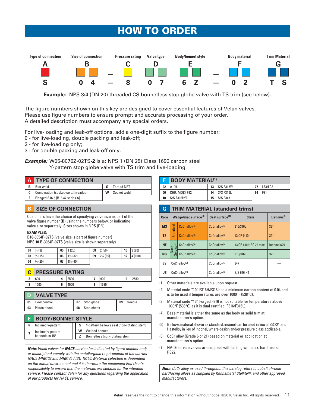# HOW TO ORDER



**Example:** NPS 3/4 (DN 20) threaded CS bonnetless stop globe valve with TS trim (see below).

The figure numbers shown on this key are designed to cover essential features of Velan valves. Please use figure numbers to ensure prompt and accurate processing of your order. A detailed description must accompany any special orders.

For live-loading and leak-off options, add a one-digit suffix to the figure number:

- 0 for live-loading, double packing and leak-off;
- 2 for live-loading only;
- 3 for double packing and leak-off only.

*Example:* W05-8076Z-02TS**-2** is a: NPS 1 (DN 25) Class 1690 carbon steel Y-pattern stop globe valve with TS trim and live-loading.

|   | <b>A TYPE OF CONNECTION</b>        |   |                   |
|---|------------------------------------|---|-------------------|
| в | Butt weld                          |   | <b>Thread NPT</b> |
| C | Combination (socket weld/threaded) | w | Socket weld       |
|   | Flanged B16.5 (B16.47 series A)    |   |                   |

#### **B SIZE OF CONNECTION**

Customers have the choice of specifying valve size as part of the valve figure number (**B**) using the numbers below, or indicating valve size separately. Sizes shown in NPS (DN)

#### **EXAMPLES:**

B**16**-3054P-02TS (valve size is part of figure number) NPS **10** B-3054P-02TS (valve size is shown separately)

| 01 | $\frac{1}{4}$ (8)   | 05 | 1(25)                | 08 | 2(50)               | 10 | 3(80)  |
|----|---------------------|----|----------------------|----|---------------------|----|--------|
| 03 | $1\frac{1}{2}$ (15) | 06 | $ 1\frac{1}{4}(32) $ | 09 | $2\frac{1}{2}$ (65) | 12 | 4(100) |
| 04 | 3/4(20)             | 07 | $1\frac{1}{2}$ (40)  |    |                     |    |        |

|              | <b>PRESSURE RATING</b> |   |      |           |      |   |      |  |  |
|--------------|------------------------|---|------|-----------|------|---|------|--|--|
| $\mathbf{r}$ | 600                    |   | 2500 |           | 900  | 9 | 2680 |  |  |
| ຳ<br>J       | 1500                   | 5 | 4500 | $\bullet$ | 1690 |   |      |  |  |

|    | <b>D</b> VALVE TYPE |    |            |    |        |  |  |
|----|---------------------|----|------------|----|--------|--|--|
| 01 | Flow control        |    | Stop globe | 09 | Needle |  |  |
| 03 | Piston check        | 08 | Stop check |    |        |  |  |

| <b>BODY/BONNET STYLE</b>             |  |   |                                            |  |  |  |
|--------------------------------------|--|---|--------------------------------------------|--|--|--|
| Inclined y-pattern                   |  |   | Y-pattern bellows seal (non-rotating stem) |  |  |  |
| Inclined y-pattern<br>bonnetless 45° |  | w | Welded bonnet                              |  |  |  |
|                                      |  |   | Bonnetless (non-rotating stem)             |  |  |  |
|                                      |  |   |                                            |  |  |  |

*Note: Velan valves for NACE service (as indicated by figure number and/ or description) comply with the metallurgical requirements of the current NACE MR0103 and MR0175 / ISO 15156. Material selection is dependent on the actual environment and it is therefore the equipment End User's responsibility to ensure that the materials are suitable for the intended service. Please contact Velan for any questions regarding the application of our products for NACE service.*

|    | <b>BODY MATERIAL(1)</b> |    |             |    |         |  |  |
|----|-------------------------|----|-------------|----|---------|--|--|
| 02 | A <sub>105</sub>        | 13 | S/S F316(3) | 27 | LF3/LC3 |  |  |
| 06 | CHR. MOLY F22           | 14 | S/S F316L   | 34 | F91     |  |  |
| 10 | S/S F316H(2)            | 15 | S/S F347    |    |         |  |  |

| G           |                                              | <b>TRIM MATERIAL (standard trims)</b> |                                            |                       |                                            |  |                        |  |  |  |  |  |
|-------------|----------------------------------------------|---------------------------------------|--------------------------------------------|-----------------------|--------------------------------------------|--|------------------------|--|--|--|--|--|
| <b>Code</b> | Wedge/disc surface <sup>(4)</sup>            |                                       |                                            |                       | Seat surface <sup>(4)</sup><br><b>Stem</b> |  | Bellows <sup>(5)</sup> |  |  |  |  |  |
| <b>MS</b>   |                                              | $CoCr$ alloy <sup>(6)</sup>           | CoCr alloy <sup>(6)</sup>                  | 316/316L              | 321                                        |  |                        |  |  |  |  |  |
| <b>TS</b>   | <b>Standard</b><br>CoCr alloy <sup>(6)</sup> |                                       | 13 CR (410)<br>$CoCr$ alloy <sup>(6)</sup> |                       | 321                                        |  |                        |  |  |  |  |  |
| <b>NE</b>   | ce(7)                                        | $CoCr$ alloy <sup>(6)</sup>           | $CoCr$ alloy <sup>(6)</sup>                | 13 CR 410 HRC 22 max. | Inconel 625                                |  |                        |  |  |  |  |  |
| <b>NG</b>   | Nace<br>Serv<br>CoCr alloy <sup>(6)</sup>    |                                       | $CoCr$ alloy <sup>(6)</sup>                | 316/316L              | 321                                        |  |                        |  |  |  |  |  |
| ES          | $CoCr$ alloy <sup>(6)</sup>                  |                                       | $CoCr$ alloy <sup>(6)</sup>                | 347                   |                                            |  |                        |  |  |  |  |  |
| US          | CoCr alloy <sup>(6)</sup>                    |                                       | $CoCr$ alloy <sup>(6)</sup>                | S/S 616 HT            |                                            |  |                        |  |  |  |  |  |

- (1) Other materials are available upon request.
- (2) Material code "10" F316H/F316 has a minimum carbon content of 0.04 and is to be used if temperatures are over 1000°F (538°C).
- (3) Material code "13" Forged F316 is not suitable for temperatures above 1000°F (538°C) as it is dual certified (F316/F316L).
- (4) Base material is either the same as the body or solid trim at manufacturer's option.
- (5) Bellows material shown as standard, inconel can be used in lieu of SS 321 and Hastelloy in lieu of Inconel, where design and/or pressure class applicable.
- (6) CoCr alloy (Grade 6 or 21) based on material or application at manufacturer's option.
- (7) NACE service valves are supplied with bolting with max. hardness of RC22.

*Note: CoCr alloy as used throughout this catalog refers to cobalt chrome hardfacing alloys as supplied by Kennametal Stellite™, and other approved manufacturers.*